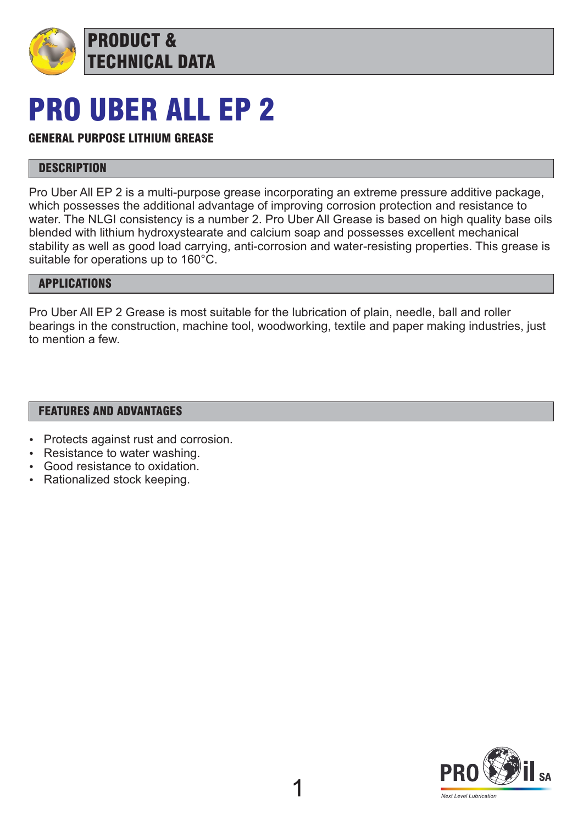

# PRO UBER ALL EP 2

TECHNICAL DATA

### GENERAL PURPOSE LITHIUM GREASE

PRODUCT &

#### **DESCRIPTION**

Pro Uber All EP 2 is a multi-purpose grease incorporating an extreme pressure additive package, which possesses the additional advantage of improving corrosion protection and resistance to water. The NLGI consistency is a number 2. Pro Uber All Grease is based on high quality base oils blended with lithium hydroxystearate and calcium soap and possesses excellent mechanical stability as well as good load carrying, anti-corrosion and water-resisting properties. This grease is suitable for operations up to 160°C.

#### APPLICATIONS

Pro Uber All EP 2 Grease is most suitable for the lubrication of plain, needle, ball and roller bearings in the construction, machine tool, woodworking, textile and paper making industries, just to mention a few.

#### FEATURES AND ADVANTAGES

- Protects against rust and corrosion.
- Resistance to water washing.
- Good resistance to oxidation.
- Rationalized stock keeping.